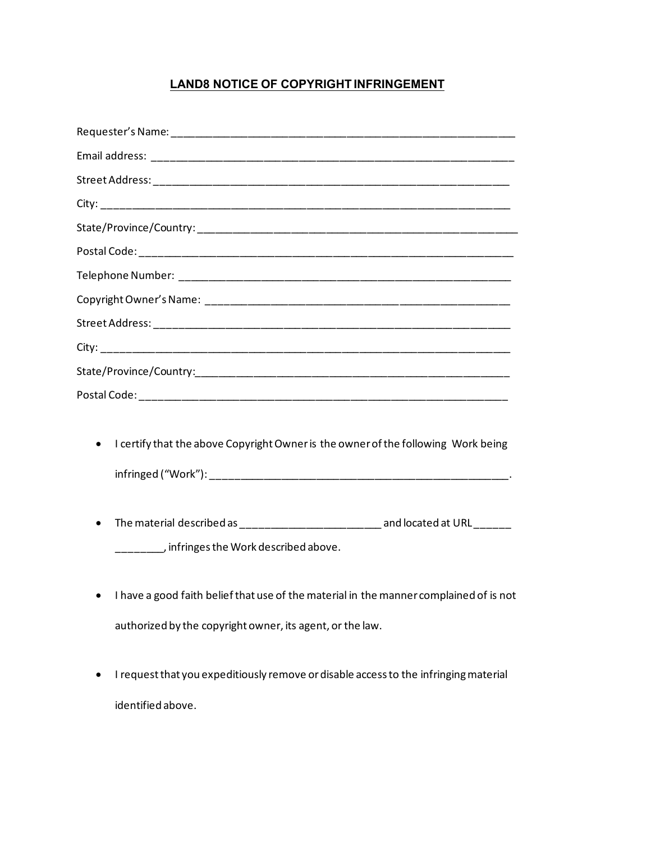## **LAND8 NOTICE OF COPYRIGHT INFRINGEMENT**

| I certify that the above Copyright Owner is the owner of the following Work being<br>$\bullet$ |
|------------------------------------------------------------------------------------------------|
|                                                                                                |
| The metanial described as<br>cuello coto do til Di                                             |

- The material described as \_\_\_\_\_\_\_\_\_\_\_\_\_\_\_\_\_\_\_\_\_\_\_\_\_\_\_\_\_\_\_ and located at URL \_\_\_\_\_\_\_ \_\_\_\_\_\_\_\_, infringes the Work described above.
- I have a good faith belief that use of the material in the manner complained of is not authorized by the copyright owner, its agent, or the law.
- I request that you expeditiously remove or disable access to the infringing material identified above.